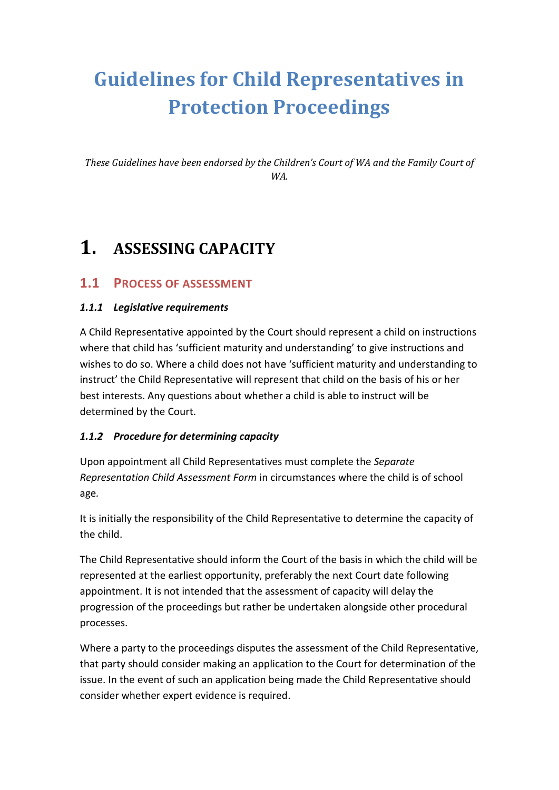# **Guidelines for Child Representatives in Protection Proceedings**

*These Guidelines have been endorsed by the Children's Court of WA and the Family Court of WA.*

## **1. ASSESSING CAPACITY**

#### **1.1 PROCESS OF ASSESSMENT**

#### *1.1.1 Legislative requirements*

A Child Representative appointed by the Court should represent a child on instructions where that child has 'sufficient maturity and understanding' to give instructions and wishes to do so. Where a child does not have 'sufficient maturity and understanding to instruct' the Child Representative will represent that child on the basis of his or her best interests. Any questions about whether a child is able to instruct will be determined by the Court.

#### *1.1.2 Procedure for determining capacity*

Upon appointment all Child Representatives must complete the *Separate Representation Child Assessment Form* in circumstances where the child is of school age*.*

It is initially the responsibility of the Child Representative to determine the capacity of the child.

The Child Representative should inform the Court of the basis in which the child will be represented at the earliest opportunity, preferably the next Court date following appointment. It is not intended that the assessment of capacity will delay the progression of the proceedings but rather be undertaken alongside other procedural processes.

Where a party to the proceedings disputes the assessment of the Child Representative, that party should consider making an application to the Court for determination of the issue. In the event of such an application being made the Child Representative should consider whether expert evidence is required.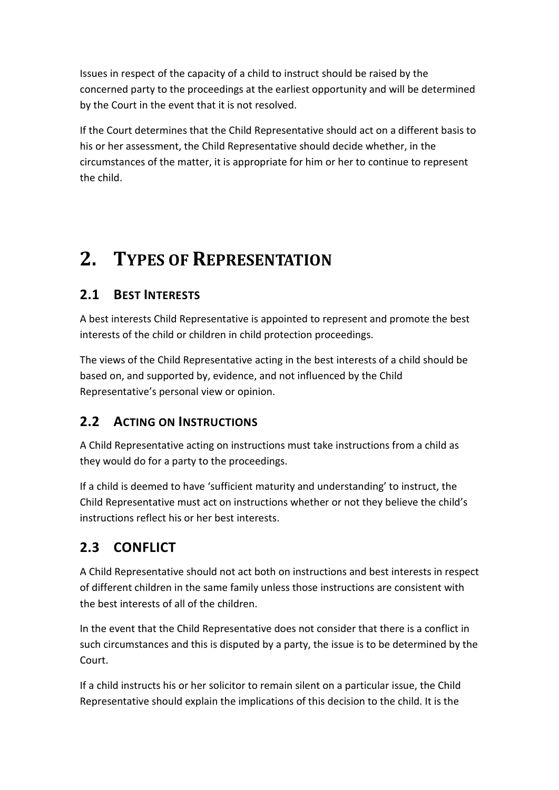Issues in respect of the capacity of a child to instruct should be raised by the concerned party to the proceedings at the earliest opportunity and will be determined by the Court in the event that it is not resolved.

If the Court determines that the Child Representative should act on a different basis to his or her assessment, the Child Representative should decide whether, in the circumstances of the matter, it is appropriate for him or her to continue to represent the child.

## **2. TYPES OF REPRESENTATION**

## **2.1 BEST INTERESTS**

A best interests Child Representative is appointed to represent and promote the best interests of the child or children in child protection proceedings.

The views of the Child Representative acting in the best interests of a child should be based on, and supported by, evidence, and not influenced by the Child Representative's personal view or opinion.

## **2.2 ACTING ON INSTRUCTIONS**

A Child Representative acting on instructions must take instructions from a child as they would do for a party to the proceedings.

If a child is deemed to have 'sufficient maturity and understanding' to instruct, the Child Representative must act on instructions whether or not they believe the child's instructions reflect his or her best interests.

## **2.3 CONFLICT**

A Child Representative should not act both on instructions and best interests in respect of different children in the same family unless those instructions are consistent with the best interests of all of the children.

In the event that the Child Representative does not consider that there is a conflict in such circumstances and this is disputed by a party, the issue is to be determined by the Court.

If a child instructs his or her solicitor to remain silent on a particular issue, the Child Representative should explain the implications of this decision to the child. It is the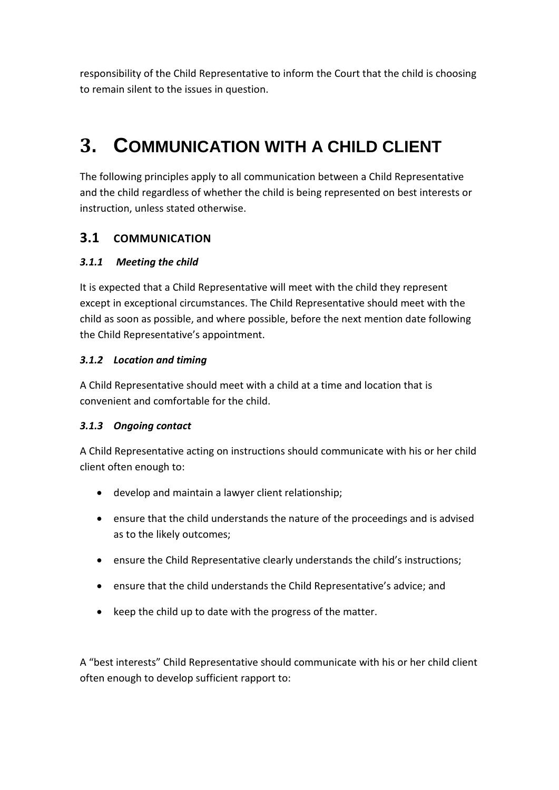responsibility of the Child Representative to inform the Court that the child is choosing to remain silent to the issues in question.

## **3. COMMUNICATION WITH A CHILD CLIENT**

The following principles apply to all communication between a Child Representative and the child regardless of whether the child is being represented on best interests or instruction, unless stated otherwise.

### **3.1 COMMUNICATION**

#### *3.1.1 Meeting the child*

It is expected that a Child Representative will meet with the child they represent except in exceptional circumstances. The Child Representative should meet with the child as soon as possible, and where possible, before the next mention date following the Child Representative's appointment.

#### *3.1.2 Location and timing*

A Child Representative should meet with a child at a time and location that is convenient and comfortable for the child.

#### *3.1.3 Ongoing contact*

A Child Representative acting on instructions should communicate with his or her child client often enough to:

- develop and maintain a lawyer client relationship;
- ensure that the child understands the nature of the proceedings and is advised as to the likely outcomes;
- ensure the Child Representative clearly understands the child's instructions;
- ensure that the child understands the Child Representative's advice; and
- keep the child up to date with the progress of the matter.

A "best interests" Child Representative should communicate with his or her child client often enough to develop sufficient rapport to: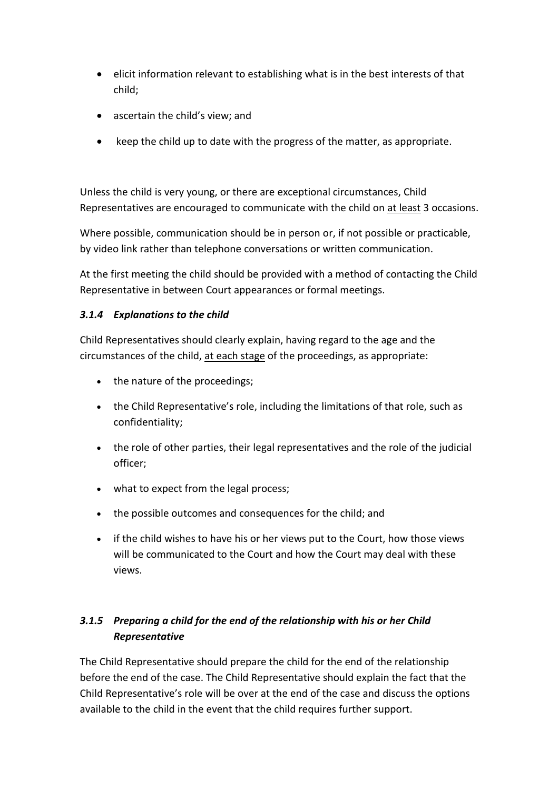- elicit information relevant to establishing what is in the best interests of that child;
- ascertain the child's view; and
- keep the child up to date with the progress of the matter, as appropriate.

Unless the child is very young, or there are exceptional circumstances, Child Representatives are encouraged to communicate with the child on at least 3 occasions.

Where possible, communication should be in person or, if not possible or practicable, by video link rather than telephone conversations or written communication.

At the first meeting the child should be provided with a method of contacting the Child Representative in between Court appearances or formal meetings.

#### *3.1.4 Explanations to the child*

Child Representatives should clearly explain, having regard to the age and the circumstances of the child, at each stage of the proceedings, as appropriate:

- the nature of the proceedings;
- the Child Representative's role, including the limitations of that role, such as confidentiality;
- the role of other parties, their legal representatives and the role of the judicial officer;
- what to expect from the legal process;
- the possible outcomes and consequences for the child; and
- if the child wishes to have his or her views put to the Court, how those views will be communicated to the Court and how the Court may deal with these views.

#### *3.1.5 Preparing a child for the end of the relationship with his or her Child Representative*

The Child Representative should prepare the child for the end of the relationship before the end of the case. The Child Representative should explain the fact that the Child Representative's role will be over at the end of the case and discuss the options available to the child in the event that the child requires further support.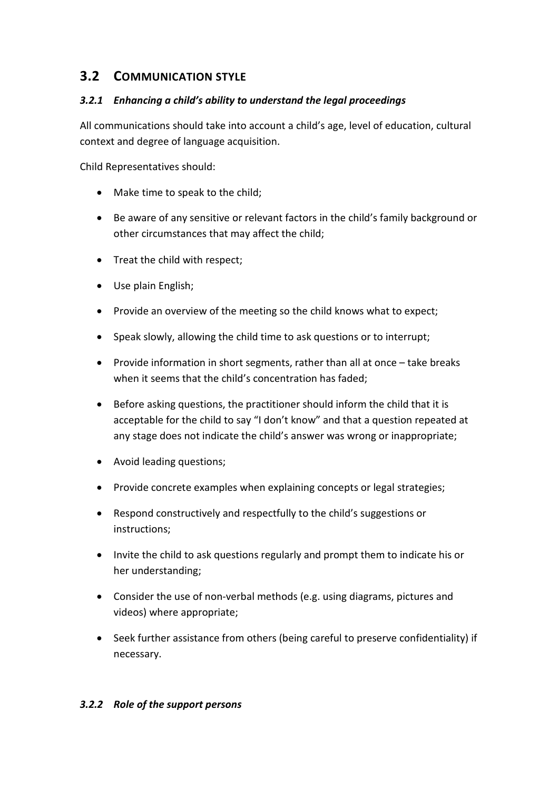## **3.2 COMMUNICATION STYLE**

#### *3.2.1 Enhancing a child's ability to understand the legal proceedings*

All communications should take into account a child's age, level of education, cultural context and degree of language acquisition.

Child Representatives should:

- Make time to speak to the child;
- Be aware of any sensitive or relevant factors in the child's family background or other circumstances that may affect the child;
- Treat the child with respect;
- Use plain English;
- Provide an overview of the meeting so the child knows what to expect;
- Speak slowly, allowing the child time to ask questions or to interrupt;
- Provide information in short segments, rather than all at once take breaks when it seems that the child's concentration has faded;
- Before asking questions, the practitioner should inform the child that it is acceptable for the child to say "I don't know" and that a question repeated at any stage does not indicate the child's answer was wrong or inappropriate;
- Avoid leading questions;
- Provide concrete examples when explaining concepts or legal strategies;
- Respond constructively and respectfully to the child's suggestions or instructions;
- Invite the child to ask questions regularly and prompt them to indicate his or her understanding;
- Consider the use of non-verbal methods (e.g. using diagrams, pictures and videos) where appropriate;
- Seek further assistance from others (being careful to preserve confidentiality) if necessary.

#### *3.2.2 Role of the support persons*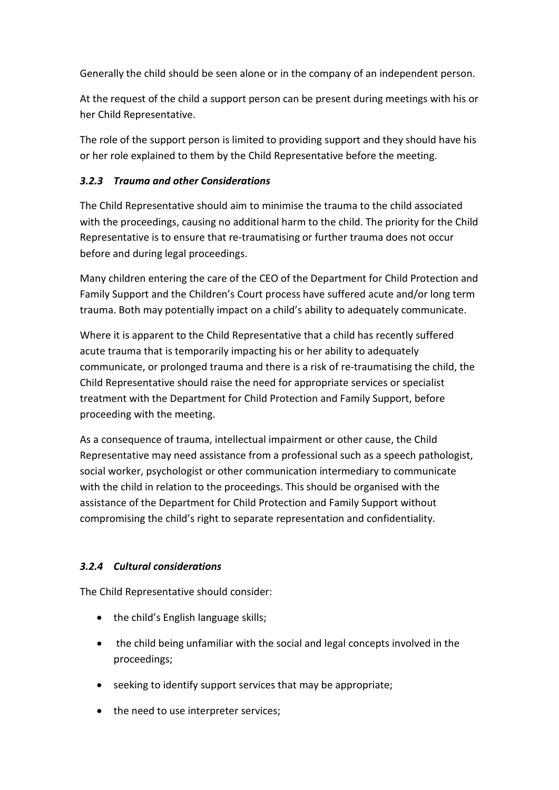Generally the child should be seen alone or in the company of an independent person.

At the request of the child a support person can be present during meetings with his or her Child Representative.

The role of the support person is limited to providing support and they should have his or her role explained to them by the Child Representative before the meeting.

#### *3.2.3 Trauma and other Considerations*

The Child Representative should aim to minimise the trauma to the child associated with the proceedings, causing no additional harm to the child. The priority for the Child Representative is to ensure that re-traumatising or further trauma does not occur before and during legal proceedings.

Many children entering the care of the CEO of the Department for Child Protection and Family Support and the Children's Court process have suffered acute and/or long term trauma. Both may potentially impact on a child's ability to adequately communicate.

Where it is apparent to the Child Representative that a child has recently suffered acute trauma that is temporarily impacting his or her ability to adequately communicate, or prolonged trauma and there is a risk of re-traumatising the child, the Child Representative should raise the need for appropriate services or specialist treatment with the Department for Child Protection and Family Support, before proceeding with the meeting.

As a consequence of trauma, intellectual impairment or other cause, the Child Representative may need assistance from a professional such as a speech pathologist, social worker, psychologist or other communication intermediary to communicate with the child in relation to the proceedings. This should be organised with the assistance of the Department for Child Protection and Family Support without compromising the child's right to separate representation and confidentiality.

#### *3.2.4 Cultural considerations*

The Child Representative should consider:

- the child's English language skills;
- the child being unfamiliar with the social and legal concepts involved in the proceedings;
- seeking to identify support services that may be appropriate;
- the need to use interpreter services;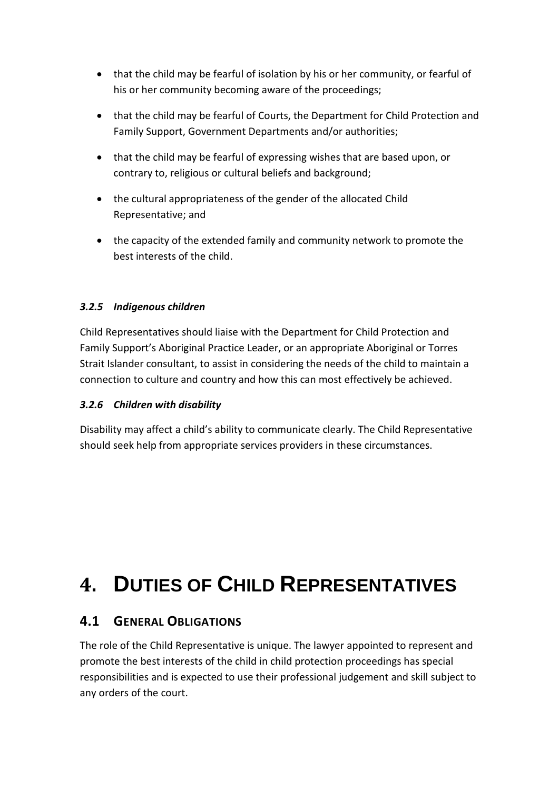- that the child may be fearful of isolation by his or her community, or fearful of his or her community becoming aware of the proceedings;
- that the child may be fearful of Courts, the Department for Child Protection and Family Support, Government Departments and/or authorities;
- that the child may be fearful of expressing wishes that are based upon, or contrary to, religious or cultural beliefs and background;
- the cultural appropriateness of the gender of the allocated Child Representative; and
- the capacity of the extended family and community network to promote the best interests of the child.

#### *3.2.5 Indigenous children*

Child Representatives should liaise with the Department for Child Protection and Family Support's Aboriginal Practice Leader, or an appropriate Aboriginal or Torres Strait Islander consultant, to assist in considering the needs of the child to maintain a connection to culture and country and how this can most effectively be achieved.

#### *3.2.6 Children with disability*

Disability may affect a child's ability to communicate clearly. The Child Representative should seek help from appropriate services providers in these circumstances.

# **4. DUTIES OF CHILD REPRESENTATIVES**

## **4.1 GENERAL OBLIGATIONS**

The role of the Child Representative is unique. The lawyer appointed to represent and promote the best interests of the child in child protection proceedings has special responsibilities and is expected to use their professional judgement and skill subject to any orders of the court.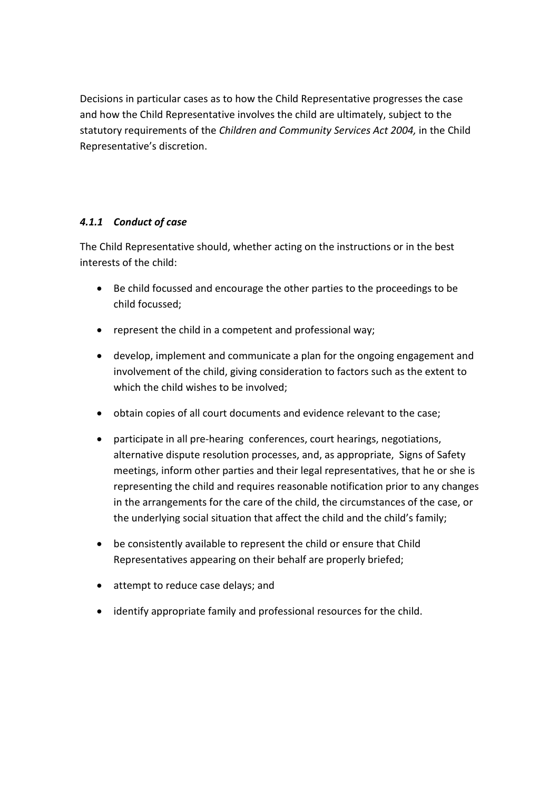Decisions in particular cases as to how the Child Representative progresses the case and how the Child Representative involves the child are ultimately, subject to the statutory requirements of the *Children and Community Services Act 2004,* in the Child Representative's discretion.

#### *4.1.1 Conduct of case*

The Child Representative should, whether acting on the instructions or in the best interests of the child:

- Be child focussed and encourage the other parties to the proceedings to be child focussed;
- represent the child in a competent and professional way;
- develop, implement and communicate a plan for the ongoing engagement and involvement of the child, giving consideration to factors such as the extent to which the child wishes to be involved;
- obtain copies of all court documents and evidence relevant to the case;
- participate in all pre-hearing conferences, court hearings, negotiations, alternative dispute resolution processes, and, as appropriate, Signs of Safety meetings, inform other parties and their legal representatives, that he or she is representing the child and requires reasonable notification prior to any changes in the arrangements for the care of the child, the circumstances of the case, or the underlying social situation that affect the child and the child's family;
- be consistently available to represent the child or ensure that Child Representatives appearing on their behalf are properly briefed;
- attempt to reduce case delays; and
- identify appropriate family and professional resources for the child.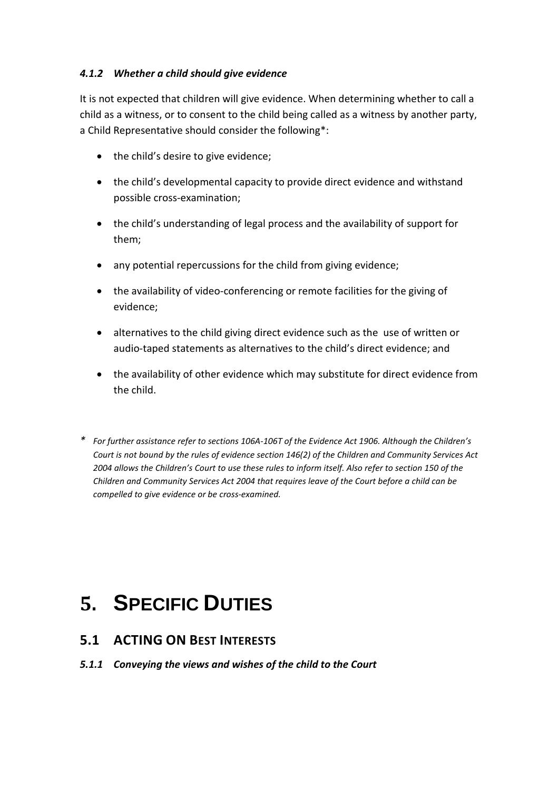#### *4.1.2 Whether a child should give evidence*

It is not expected that children will give evidence. When determining whether to call a child as a witness, or to consent to the child being called as a witness by another party, a Child Representative should consider the following\*:

- the child's desire to give evidence;
- the child's developmental capacity to provide direct evidence and withstand possible cross-examination;
- the child's understanding of legal process and the availability of support for them;
- any potential repercussions for the child from giving evidence;
- the availability of video-conferencing or remote facilities for the giving of evidence;
- alternatives to the child giving direct evidence such as the use of written or audio-taped statements as alternatives to the child's direct evidence; and
- the availability of other evidence which may substitute for direct evidence from the child.
- *\* For further assistance refer to sections 106A-106T of the Evidence Act 1906. Although the Children's Court is not bound by the rules of evidence section 146(2) of the Children and Community Services Act 2004 allows the Children's Court to use these rules to inform itself. Also refer to section 150 of the Children and Community Services Act 2004 that requires leave of the Court before a child can be compelled to give evidence or be cross-examined.*

# **5. SPECIFIC DUTIES**

### **5.1 ACTING ON BEST INTERESTS**

*5.1.1 Conveying the views and wishes of the child to the Court*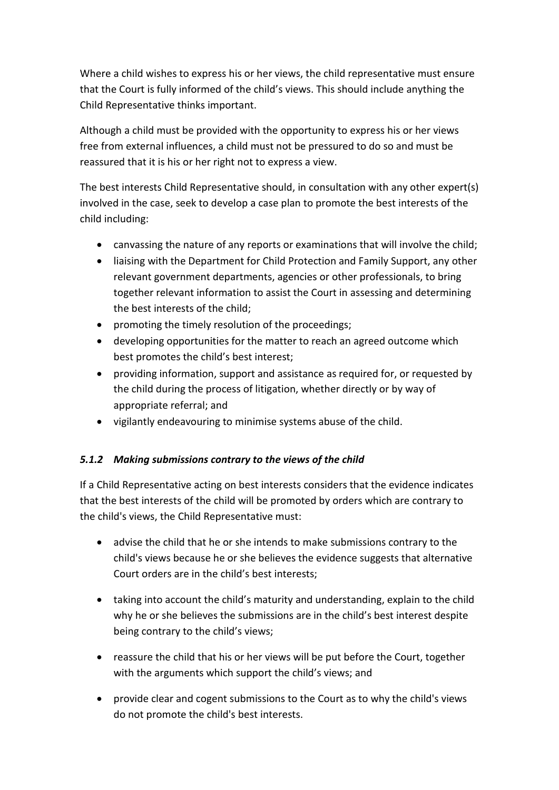Where a child wishes to express his or her views, the child representative must ensure that the Court is fully informed of the child's views. This should include anything the Child Representative thinks important.

Although a child must be provided with the opportunity to express his or her views free from external influences, a child must not be pressured to do so and must be reassured that it is his or her right not to express a view.

The best interests Child Representative should, in consultation with any other expert(s) involved in the case, seek to develop a case plan to promote the best interests of the child including:

- canvassing the nature of any reports or examinations that will involve the child;
- liaising with the Department for Child Protection and Family Support, any other relevant government departments, agencies or other professionals, to bring together relevant information to assist the Court in assessing and determining the best interests of the child;
- promoting the timely resolution of the proceedings;
- developing opportunities for the matter to reach an agreed outcome which best promotes the child's best interest;
- providing information, support and assistance as required for, or requested by the child during the process of litigation, whether directly or by way of appropriate referral; and
- vigilantly endeavouring to minimise systems abuse of the child.

#### *5.1.2 Making submissions contrary to the views of the child*

If a Child Representative acting on best interests considers that the evidence indicates that the best interests of the child will be promoted by orders which are contrary to the child's views, the Child Representative must:

- advise the child that he or she intends to make submissions contrary to the child's views because he or she believes the evidence suggests that alternative Court orders are in the child's best interests;
- taking into account the child's maturity and understanding, explain to the child why he or she believes the submissions are in the child's best interest despite being contrary to the child's views;
- reassure the child that his or her views will be put before the Court, together with the arguments which support the child's views; and
- provide clear and cogent submissions to the Court as to why the child's views do not promote the child's best interests.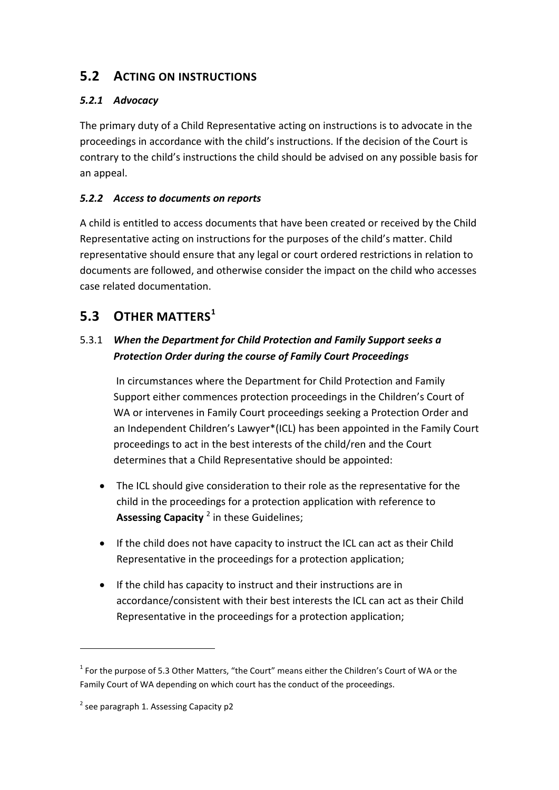## **5.2 ACTING ON INSTRUCTIONS**

### *5.2.1 Advocacy*

The primary duty of a Child Representative acting on instructions is to advocate in the proceedings in accordance with the child's instructions. If the decision of the Court is contrary to the child's instructions the child should be advised on any possible basis for an appeal.

#### *5.2.2 Access to documents on reports*

A child is entitled to access documents that have been created or received by the Child Representative acting on instructions for the purposes of the child's matter. Child representative should ensure that any legal or court ordered restrictions in relation to documents are followed, and otherwise consider the impact on the child who accesses case related documentation.

## **5.3 OTHER MATTERS[1](#page-10-0)**

### 5.3.1 *When the Department for Child Protection and Family Support seeks a Protection Order during the course of Family Court Proceedings*

In circumstances where the Department for Child Protection and Family Support either commences protection proceedings in the Children's Court of WA or intervenes in Family Court proceedings seeking a Protection Order and an Independent Children's Lawyer\*(ICL) has been appointed in the Family Court proceedings to act in the best interests of the child/ren and the Court determines that a Child Representative should be appointed:

- The ICL should give consideration to their role as the representative for the child in the proceedings for a protection application with reference to **Assessing Capacity** [2](#page-10-1) in these Guidelines;
- If the child does not have capacity to instruct the ICL can act as their Child Representative in the proceedings for a protection application;
- If the child has capacity to instruct and their instructions are in accordance/consistent with their best interests the ICL can act as their Child Representative in the proceedings for a protection application;

-

<span id="page-10-0"></span> $1$  For the purpose of 5.3 Other Matters, "the Court" means either the Children's Court of WA or the Family Court of WA depending on which court has the conduct of the proceedings.

<span id="page-10-1"></span> $2$  see paragraph 1. Assessing Capacity p2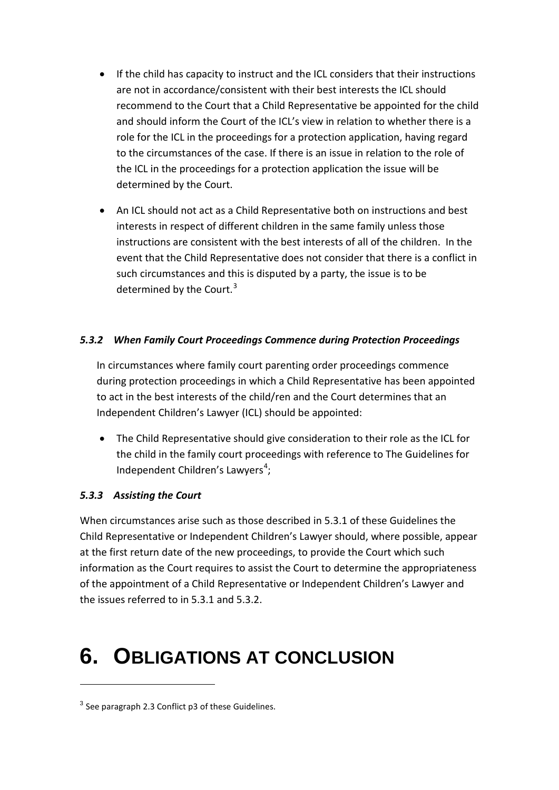- If the child has capacity to instruct and the ICL considers that their instructions are not in accordance/consistent with their best interests the ICL should recommend to the Court that a Child Representative be appointed for the child and should inform the Court of the ICL's view in relation to whether there is a role for the ICL in the proceedings for a protection application, having regard to the circumstances of the case. If there is an issue in relation to the role of the ICL in the proceedings for a protection application the issue will be determined by the Court.
- An ICL should not act as a Child Representative both on instructions and best interests in respect of different children in the same family unless those instructions are consistent with the best interests of all of the children. In the event that the Child Representative does not consider that there is a conflict in such circumstances and this is disputed by a party, the issue is to be determined by the Court. $3$

#### *5.3.2 When Family Court Proceedings Commence during Protection Proceedings*

In circumstances where family court parenting order proceedings commence during protection proceedings in which a Child Representative has been appointed to act in the best interests of the child/ren and the Court determines that an Independent Children's Lawyer (ICL) should be appointed:

• The Child Representative should give consideration to their role as the ICL for the child in the family court proceedings with reference to The Guidelines for Independent Children's Lawyers<sup>[4](#page-11-1)</sup>;

#### *5.3.3 Assisting the Court*

<span id="page-11-0"></span>-

When circumstances arise such as those described in 5.3.1 of these Guidelines the Child Representative or Independent Children's Lawyer should, where possible, appear at the first return date of the new proceedings, to provide the Court which such information as the Court requires to assist the Court to determine the appropriateness of the appointment of a Child Representative or Independent Children's Lawyer and the issues referred to in 5.3.1 and 5.3.2.

# **6. OBLIGATIONS AT CONCLUSION**

<span id="page-11-1"></span> $3$  See paragraph 2.3 Conflict p3 of these Guidelines.